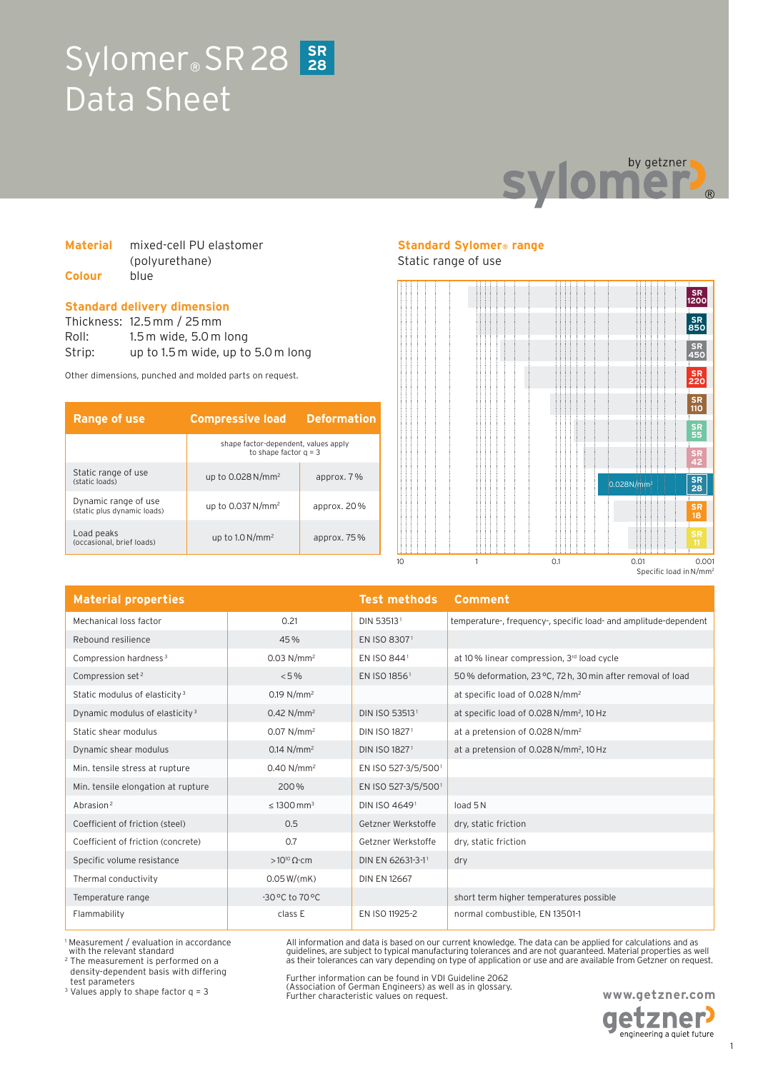## Sylomer<sup>®</sup> SR 28 SR Data Sheet **28**



### **Material** mixed-cell PU elastomer (polyurethane) **Colour** blue

### **Standard delivery dimension**

Thickness: 12.5 mm / 25 mm Roll: 1.5 m wide, 5.0 m long Strip: up to 1.5 m wide, up to 5.0 m long

Other dimensions, punched and molded parts on request.

| <b>Range of use</b>                                 | <b>Compressive load</b>                                         | <b>Deformation</b> |
|-----------------------------------------------------|-----------------------------------------------------------------|--------------------|
|                                                     | shape factor-dependent, values apply<br>to shape factor $q = 3$ |                    |
| Static range of use<br>(static loads)               | up to $0.028$ N/mm <sup>2</sup>                                 | approx. 7%         |
| Dynamic range of use<br>(static plus dynamic loads) | up to $0.037$ N/mm <sup>2</sup>                                 | approx. $20\%$     |
| Load peaks<br>(occasional, brief loads)             | up to $1.0 N/mm^2$                                              | approx. $75%$      |

### **Standard Sylomer® range**

Static range of use



| <b>Material properties</b>                 |                                   | <b>Test methods</b>       | <b>Comment</b>                                                   |
|--------------------------------------------|-----------------------------------|---------------------------|------------------------------------------------------------------|
| Mechanical loss factor                     | 0.21                              | DIN 535131                | temperature-, frequency-, specific load- and amplitude-dependent |
| Rebound resilience                         | 45%                               | EN ISO 83071              |                                                                  |
| Compression hardness <sup>3</sup>          | $0.03$ N/mm <sup>2</sup>          | EN ISO 8441               | at 10% linear compression, 3rd load cycle                        |
| Compression set <sup>2</sup>               | $< 5\%$                           | EN ISO 18561              | 50% deformation, 23 °C, 72 h, 30 min after removal of load       |
| Static modulus of elasticity <sup>3</sup>  | $0.19 N/mm^2$                     |                           | at specific load of 0.028 N/mm <sup>2</sup>                      |
| Dynamic modulus of elasticity <sup>3</sup> | $0.42$ N/mm <sup>2</sup>          | DIN ISO 535131            | at specific load of 0.028 N/mm <sup>2</sup> , 10 Hz              |
| Static shear modulus                       | $0.07$ N/mm <sup>2</sup>          | DIN ISO 18271             | at a pretension of 0.028 N/mm <sup>2</sup>                       |
| Dynamic shear modulus                      | $0.14 N/mm^2$                     | DIN ISO 1827 <sup>1</sup> | at a pretension of 0.028 N/mm <sup>2</sup> , 10 Hz               |
| Min. tensile stress at rupture             | $0.40 N/mm^2$                     | EN ISO 527-3/5/5001       |                                                                  |
| Min. tensile elongation at rupture         | 200%                              | EN ISO 527-3/5/5001       |                                                                  |
| Abrasion <sup>2</sup>                      | $\leq 1300$ mm <sup>3</sup>       | DIN ISO 46491             | load 5N                                                          |
| Coefficient of friction (steel)            | 0.5                               | Getzner Werkstoffe        | dry, static friction                                             |
| Coefficient of friction (concrete)         | 0.7                               | Getzner Werkstoffe        | dry, static friction                                             |
| Specific volume resistance                 | $>10^{10} \Omega$ cm              | DIN EN 62631-3-11         | dry                                                              |
| Thermal conductivity                       | 0.05 W/(mK)                       | <b>DIN EN 12667</b>       |                                                                  |
| Temperature range                          | $-30^{\circ}$ C to $70^{\circ}$ C |                           | short term higher temperatures possible                          |
| Flammability                               | class E                           | EN ISO 11925-2            | normal combustible, EN 13501-1                                   |

1 Measurement / evaluation in accordance with the relevant standard<br><sup>2</sup> The measurement is performed on a

density-dependent basis with differing test parameters

3 Values apply to shape factor q = 3

Further information can be found in VDI Guideline 2062 (Association of German Engineers) as well as in glossary. Further characteristic values on request.

All information and data is based on our current knowledge. The data can be applied for calculations and as guidelines, are subject to typical manufacturing tolerances and are not guaranteed. Material properties as well as their tolerances can vary depending on type of application or use and are available from Getzner on request.

**www.getzner.com** 

**etzner** engineering a quiet future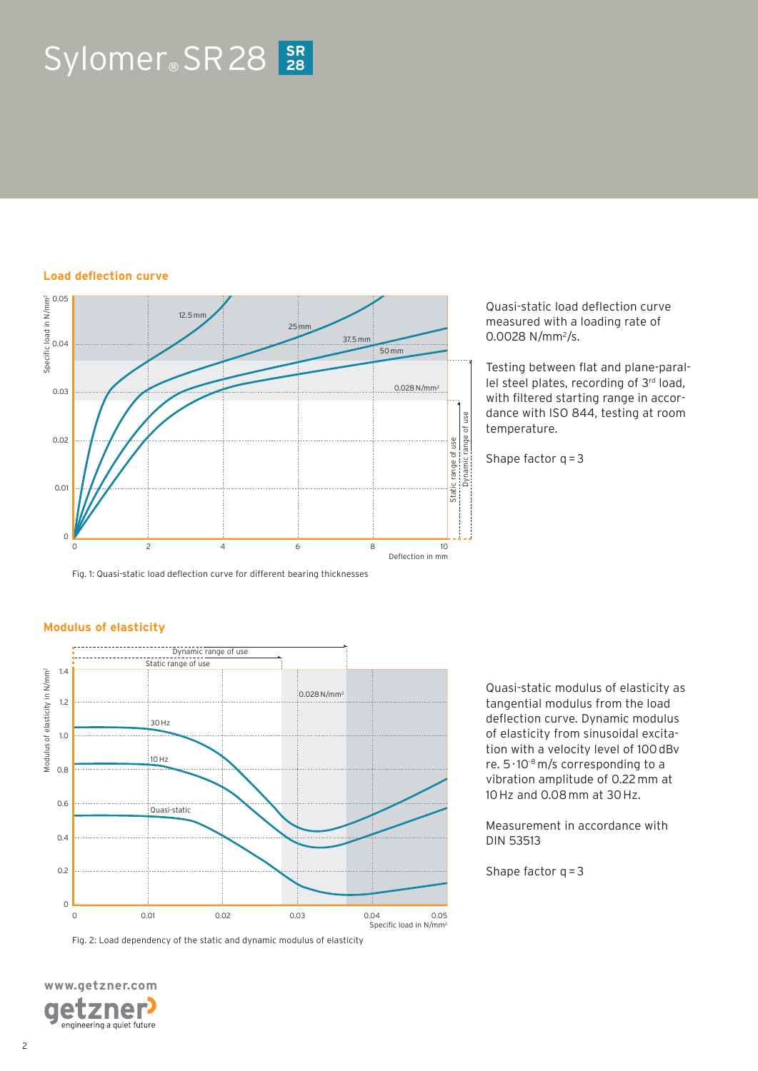# $Sylomer_{\circ}$  SR 28  $28$

### **Load deflection curve**



Fig. 1: Quasi-static load deflection curve for different bearing thicknesses

Quasi-static load deflection curve measured with a loading rate of 0.0028 N/mm<sup>2</sup>/s.

Testing between flat and plane-parallel steel plates, recording of 3rd load, with filtered starting range in accordance with ISO 844, testing at room temperature.

Shape factor  $q = 3$ 

### **Modulus of elasticity**



Fig. 2: Load dependency of the static and dynamic modulus of elasticity

**www.getzner.com**  zner e engineering a quiet future Quasi-static modulus of elasticity as tangential modulus from the load deflection curve. Dynamic modulus of elasticity from sinusoidal excitation with a velocity level of 100 dBv re.  $5 \cdot 10^{-8}$  m/s corresponding to a vibration amplitude of 0.22 mm at 10 Hz and 0.08 mm at 30 Hz.

Measurement in accordance with DIN 53513

Shape factor  $q = 3$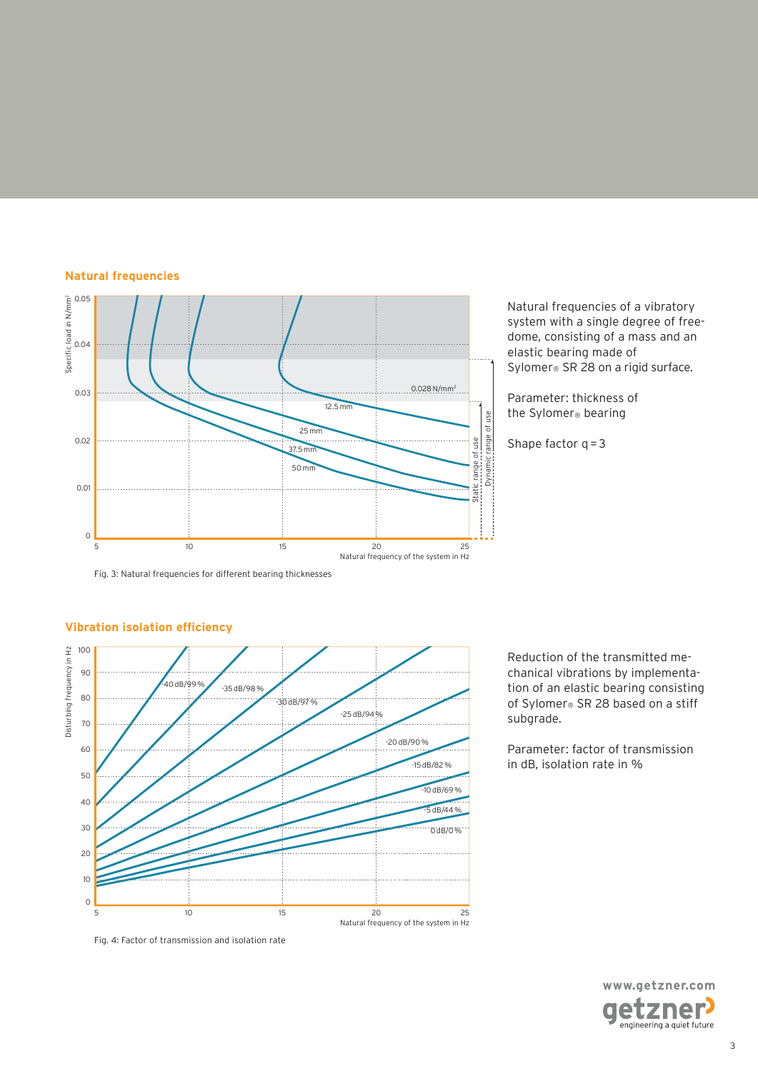### **Natural frequencies**



Natural frequencies of a vibratory system with a single degree of freedome, consisting of a mass and an elastic bearing made of Sylomer® SR 28 on a rigid surface.

Parameter: thickness of the Sylomer® bearing

Shape factor  $q = 3$ 

Fig. 3: Natural frequencies for different bearing thicknesses



### **Vibration isolation efficiency**

Reduction of the transmitted mechanical vibrations by implementation of an elastic bearing consisting of Sylomer® SR 28 based on a stiff subgrade.

Parameter: factor of transmission in dB, isolation rate in %



Fig. 4: Factor of transmission and isolation rate